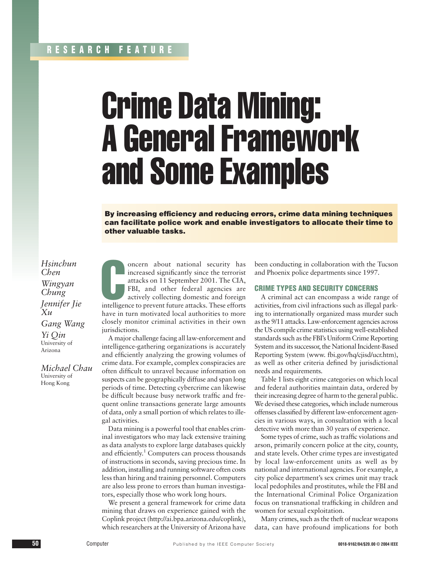# Crime Data Mining: A General Framework and Some Examples

**By increasing efficiency and reducing errors, crime data mining techniques can facilitate police work and enable investigators to allocate their time to other valuable tasks.**

*Hsinchun Chen Wingyan Chung Jennifer Jie Xu Gang Wang Yi Qin* University of Arizona

*Michael Chau* University of Hong Kong

oncern about national security has<br>increased significantly since the terrorist<br>attacks on 11 September 2001. The CIA,<br>FBI, and other federal agencies are<br>actively collecting domestic and foreign<br>intelligence to prevent fut oncern about national security has increased significantly since the terrorist attacks on 11 September 2001. The CIA, FBI, and other federal agencies are actively collecting domestic and foreign have in turn motivated local authorities to more closely monitor criminal activities in their own jurisdictions.

A major challenge facing all law-enforcement and intelligence-gathering organizations is accurately and efficiently analyzing the growing volumes of crime data. For example, complex conspiracies are often difficult to unravel because information on suspects can be geographically diffuse and span long periods of time. Detecting cybercrime can likewise be difficult because busy network traffic and frequent online transactions generate large amounts of data, only a small portion of which relates to illegal activities.

Data mining is a powerful tool that enables criminal investigators who may lack extensive training as data analysts to explore large databases quickly and efficiently.<sup>1</sup> Computers can process thousands of instructions in seconds, saving precious time. In addition, installing and running software often costs less than hiring and training personnel. Computers are also less prone to errors than human investigators, especially those who work long hours.

We present a general framework for crime data mining that draws on experience gained with the Coplink project (http://ai.bpa.arizona.edu/coplink), which researchers at the University of Arizona have been conducting in collaboration with the Tucson and Phoenix police departments since 1997.

# **CRIME TYPES AND SECURITY CONCERNS**

A criminal act can encompass a wide range of activities, from civil infractions such as illegal parking to internationally organized mass murder such as the 9/11 attacks. Law-enforcement agencies across the US compile crime statistics using well-established standards such as the FBI's Uniform Crime Reporting System and its successor, the National Incident-Based Reporting System (www. fbi.gov/hq/cjisd/ucr.htm), as well as other criteria defined by jurisdictional needs and requirements.

Table 1 lists eight crime categories on which local and federal authorities maintain data, ordered by their increasing degree of harm to the general public. We devised these categories, which include numerous offenses classified by different law-enforcement agencies in various ways, in consultation with a local detective with more than 30 years of experience.

Some types of crime, such as traffic violations and arson, primarily concern police at the city, county, and state levels. Other crime types are investigated by local law-enforcement units as well as by national and international agencies. For example, a city police department's sex crimes unit may track local pedophiles and prostitutes, while the FBI and the International Criminal Police Organization focus on transnational trafficking in children and women for sexual exploitation.

Many crimes, such as the theft of nuclear weapons data, can have profound implications for both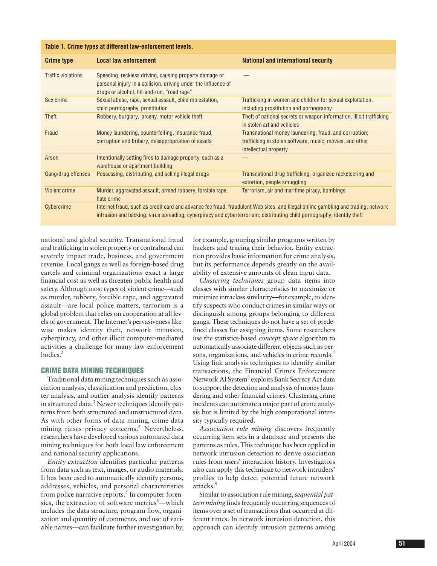| Table 1. Crime types at different law-enforcement levels. |                                                                                                                                                                                                                                                             |                                                                                                      |
|-----------------------------------------------------------|-------------------------------------------------------------------------------------------------------------------------------------------------------------------------------------------------------------------------------------------------------------|------------------------------------------------------------------------------------------------------|
| <b>Crime type</b>                                         | Local law enforcement                                                                                                                                                                                                                                       | <b>National and international security</b>                                                           |
| Traffic violations                                        | Speeding, reckless driving, causing property damage or<br>personal injury in a collision, driving under the influence of<br>drugs or alcohol, hit-and-run, "road rage"                                                                                      |                                                                                                      |
| Sex crime                                                 | Sexual abuse, rape, sexual assault, child molestation,<br>child pornography, prostitution                                                                                                                                                                   | Trafficking in women and children for sexual exploitation,<br>including prostitution and pornography |
| <b>Theft</b>                                              | Robbery, burglary, larceny, motor vehicle theft                                                                                                                                                                                                             | Theft of national secrets or weapon information, illicit trafficking<br>in stolen art and vehicles   |
| Fraud                                                     | Money laundering, counterfeiting, insurance fraud,                                                                                                                                                                                                          | Transnational money laundering, fraud, and corruption;                                               |
|                                                           | corruption and bribery, misappropriation of assets                                                                                                                                                                                                          | trafficking in stolen software, music, movies, and other<br>intellectual property                    |
| Arson                                                     | Intentionally setting fires to damage property, such as a<br>warehouse or apartment building                                                                                                                                                                |                                                                                                      |
| Gang/drug offenses                                        | Possessing, distributing, and selling illegal drugs                                                                                                                                                                                                         | Transnational drug trafficking, organized racketeering and<br>extortion, people smuggling            |
| Violent crime                                             | Murder, aggravated assault, armed robbery, forcible rape,<br>hate crime                                                                                                                                                                                     | Terrorism, air and maritime piracy, bombings                                                         |
| Cybercrime                                                | Internet fraud, such as credit card and advance fee fraud, fraudulent Web sites, and illegal online gambling and trading; network<br>intrusion and hacking; virus spreading; cyberpiracy and cyberterrorism; distributing child pornography; identity theft |                                                                                                      |

national and global security. Transnational fraud and trafficking in stolen property or contraband can severely impact trade, business, and government revenue. Local gangs as well as foreign-based drug cartels and criminal organizations exact a large financial cost as well as threaten public health and safety. Although most types of violent crime—such as murder, robbery, forcible rape, and aggravated assault—are local police matters, terrorism is a global problem that relies on cooperation at all levels of government. The Internet's pervasiveness likewise makes identity theft, network intrusion, cyberpiracy, and other illicit computer-mediated activities a challenge for many law-enforcement bodies.<sup>2</sup>

### **CRIME DATA MINING TECHNIQUES**

Traditional data mining techniques such as association analysis, classification and prediction, cluster analysis, and outlier analysis identify patterns in structured data.<sup>3</sup> Newer techniques identify patterns from both structured and unstructured data. As with other forms of data mining, crime data mining raises privacy concerns.<sup>4</sup> Nevertheless, researchers have developed various automated data mining techniques for both local law enforcement and national security applications.

*Entity extraction* identifies particular patterns from data such as text, images, or audio materials. It has been used to automatically identify persons, addresses, vehicles, and personal characteristics from police narrative reports. $5$  In computer forensics, the extraction of software metrics<sup>6</sup>—which includes the data structure, program flow, organization and quantity of comments, and use of variable names—can facilitate further investigation by,

for example, grouping similar programs written by hackers and tracing their behavior. Entity extraction provides basic information for crime analysis, but its performance depends greatly on the availability of extensive amounts of clean input data.

*Clustering techniques* group data items into classes with similar characteristics to maximize or minimize intraclass similarity—for example, to identify suspects who conduct crimes in similar ways or distinguish among groups belonging to different gangs. These techniques do not have a set of predefined classes for assigning items. Some researchers use the statistics-based *concept space* algorithm to automatically associate different objects such as persons, organizations, and vehicles in crime records.<sup>7</sup> Using link analysis techniques to identify similar transactions, the Financial Crimes Enforcement Network AI System<sup>8</sup> exploits Bank Secrecy Act data to support the detection and analysis of money laundering and other financial crimes. Clustering crime incidents can automate a major part of crime analysis but is limited by the high computational intensity typically required.

*Association rule mining* discovers frequently occurring item sets in a database and presents the patterns as rules. This technique has been applied in network intrusion detection to derive association rules from users' interaction history. Investigators also can apply this technique to network intruders' profiles to help detect potential future network attacks.<sup>9</sup>

Similar to association rule mining, *sequential pattern mining* finds frequently occurring sequences of items over a set of transactions that occurred at different times. In network intrusion detection, this approach can identify intrusion patterns among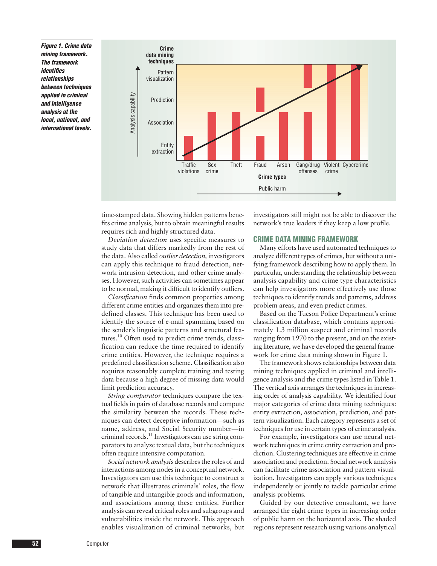*Figure 1. Crime data mining framework. The framework identifies relationships between techniques applied in criminal and intelligence analysis at the local, national, and international levels.* 



time-stamped data. Showing hidden patterns benefits crime analysis, but to obtain meaningful results requires rich and highly structured data.

*Deviation detection* uses specific measures to study data that differs markedly from the rest of the data. Also called *outlier detection,* investigators can apply this technique to fraud detection, network intrusion detection, and other crime analyses. However, such activities can sometimes appear to be normal, making it difficult to identify outliers.

*Classification* finds common properties among different crime entities and organizes them into predefined classes. This technique has been used to identify the source of e-mail spamming based on the sender's linguistic patterns and structural features.<sup>10</sup> Often used to predict crime trends, classification can reduce the time required to identify crime entities. However, the technique requires a predefined classification scheme. Classification also requires reasonably complete training and testing data because a high degree of missing data would limit prediction accuracy.

*String comparator* techniques compare the textual fields in pairs of database records and compute the similarity between the records. These techniques can detect deceptive information—such as name, address, and Social Security number—in criminal records.11 Investigators can use string comparators to analyze textual data, but the techniques often require intensive computation.

*Social network analysis* describes the roles of and interactions among nodes in a conceptual network. Investigators can use this technique to construct a network that illustrates criminals' roles, the flow of tangible and intangible goods and information, and associations among these entities. Further analysis can reveal critical roles and subgroups and vulnerabilities inside the network. This approach enables visualization of criminal networks, but investigators still might not be able to discover the network's true leaders if they keep a low profile.

# **CRIME DATA MINING FRAMEWORK**

Many efforts have used automated techniques to analyze different types of crimes, but without a unifying framework describing how to apply them. In particular, understanding the relationship between analysis capability and crime type characteristics can help investigators more effectively use those techniques to identify trends and patterns, address problem areas, and even predict crimes.

Based on the Tucson Police Department's crime classification database, which contains approximately 1.3 million suspect and criminal records ranging from 1970 to the present, and on the existing literature, we have developed the general framework for crime data mining shown in Figure 1.

The framework shows relationships between data mining techniques applied in criminal and intelligence analysis and the crime types listed in Table 1. The vertical axis arranges the techniques in increasing order of analysis capability. We identified four major categories of crime data mining techniques: entity extraction, association, prediction, and pattern visualization. Each category represents a set of techniques for use in certain types of crime analysis.

For example, investigators can use neural network techniques in crime entity extraction and prediction. Clustering techniques are effective in crime association and prediction. Social network analysis can facilitate crime association and pattern visualization. Investigators can apply various techniques independently or jointly to tackle particular crime analysis problems.

Guided by our detective consultant, we have arranged the eight crime types in increasing order of public harm on the horizontal axis. The shaded regions represent research using various analytical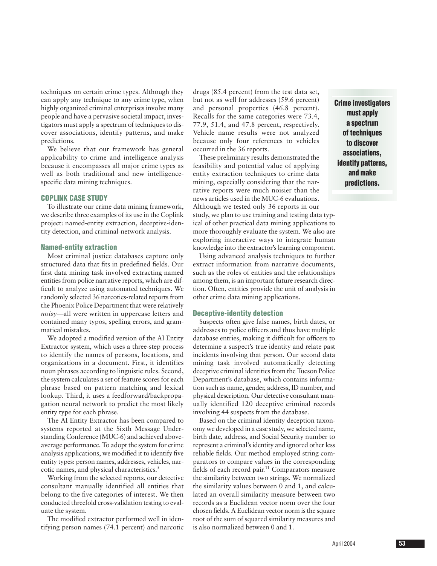techniques on certain crime types. Although they can apply any technique to any crime type, when highly organized criminal enterprises involve many people and have a pervasive societal impact, investigators must apply a spectrum of techniques to discover associations, identify patterns, and make predictions.

We believe that our framework has general applicability to crime and intelligence analysis because it encompasses all major crime types as well as both traditional and new intelligencespecific data mining techniques.

# **COPLINK CASE STUDY**

To illustrate our crime data mining framework, we describe three examples of its use in the Coplink project: named-entity extraction, deceptive-identity detection, and criminal-network analysis.

# **Named-entity extraction**

Most criminal justice databases capture only structured data that fits in predefined fields. Our first data mining task involved extracting named entities from police narrative reports, which are difficult to analyze using automated techniques. We randomly selected 36 narcotics-related reports from the Phoenix Police Department that were relatively *noisy*—all were written in uppercase letters and contained many typos, spelling errors, and grammatical mistakes.

We adopted a modified version of the AI Entity Extractor system, which uses a three-step process to identify the names of persons, locations, and organizations in a document. First, it identifies noun phrases according to linguistic rules. Second, the system calculates a set of feature scores for each phrase based on pattern matching and lexical lookup. Third, it uses a feedforward/backpropagation neural network to predict the most likely entity type for each phrase.

The AI Entity Extractor has been compared to systems reported at the Sixth Message Understanding Conference (MUC-6) and achieved aboveaverage performance. To adopt the system for crime analysis applications, we modified it to identify five entity types: person names, addresses, vehicles, narcotic names, and physical characteristics.<sup>5</sup>

Working from the selected reports, our detective consultant manually identified all entities that belong to the five categories of interest. We then conducted threefold cross-validation testing to evaluate the system.

The modified extractor performed well in identifying person names (74.1 percent) and narcotic drugs (85.4 percent) from the test data set, but not as well for addresses (59.6 percent) and personal properties (46.8 percent). Recalls for the same categories were 73.4, 77.9, 51.4, and 47.8 percent, respectively. Vehicle name results were not analyzed because only four references to vehicles occurred in the 36 reports.

These preliminary results demonstrated the feasibility and potential value of applying entity extraction techniques to crime data mining, especially considering that the narrative reports were much noisier than the news articles used in the MUC-6 evaluations. Although we tested only 36 reports in our study, we plan to use training and testing data typical of other practical data mining applications to more thoroughly evaluate the system. We also are exploring interactive ways to integrate human knowledge into the extractor's learning component.

Using advanced analysis techniques to further extract information from narrative documents, such as the roles of entities and the relationships among them, is an important future research direction. Often, entities provide the unit of analysis in other crime data mining applications.

#### **Deceptive-identity detection**

Suspects often give false names, birth dates, or addresses to police officers and thus have multiple database entries, making it difficult for officers to determine a suspect's true identity and relate past incidents involving that person. Our second data mining task involved automatically detecting deceptive criminal identities from the Tucson Police Department's database, which contains information such as name, gender, address, ID number, and physical description. Our detective consultant manually identified 120 deceptive criminal records involving 44 suspects from the database.

Based on the criminal identity deception taxonomy we developed in a case study, we selected name, birth date, address, and Social Security number to represent a criminal's identity and ignored other less reliable fields. Our method employed string comparators to compare values in the corresponding fields of each record pair.<sup>11</sup> Comparators measure the similarity between two strings. We normalized the similarity values between 0 and 1, and calculated an overall similarity measure between two records as a Euclidean vector norm over the four chosen fields. A Euclidean vector norm is the square root of the sum of squared similarity measures and is also normalized between 0 and 1.

**Crime investigators must apply a spectrum of techniques to discover associations, identify patterns, and make predictions.**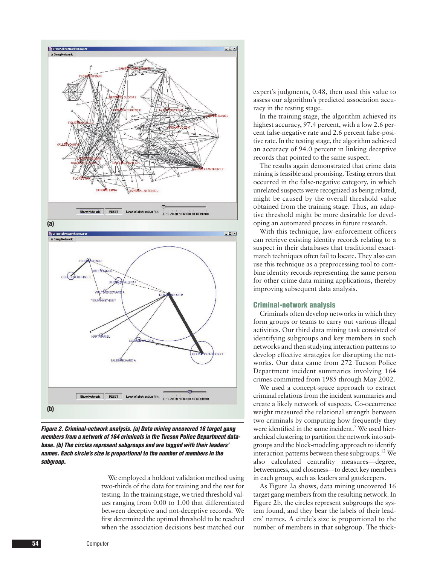

*Figure 2. Criminal-network analysis. (a) Data mining uncovered 16 target gang members from a network of 164 criminals in the Tucson Police Department database. (b) The circles represent subgroups and are tagged with their leaders' names. Each circle's size is proportional to the number of members in the subgroup.*

We employed a holdout validation method using two-thirds of the data for training and the rest for testing. In the training stage, we tried threshold values ranging from 0.00 to 1.00 that differentiated between deceptive and not-deceptive records. We first determined the optimal threshold to be reached when the association decisions best matched our expert's judgments, 0.48, then used this value to assess our algorithm's predicted association accuracy in the testing stage.

In the training stage, the algorithm achieved its highest accuracy, 97.4 percent, with a low 2.6 percent false-negative rate and 2.6 percent false-positive rate. In the testing stage, the algorithm achieved an accuracy of 94.0 percent in linking deceptive records that pointed to the same suspect.

The results again demonstrated that crime data mining is feasible and promising. Testing errors that occurred in the false-negative category, in which unrelated suspects were recognized as being related, might be caused by the overall threshold value obtained from the training stage. Thus, an adaptive threshold might be more desirable for developing an automated process in future research.

With this technique, law-enforcement officers can retrieve existing identity records relating to a suspect in their databases that traditional exactmatch techniques often fail to locate. They also can use this technique as a preprocessing tool to combine identity records representing the same person for other crime data mining applications, thereby improving subsequent data analysis.

#### **Criminal-network analysis**

Criminals often develop networks in which they form groups or teams to carry out various illegal activities. Our third data mining task consisted of identifying subgroups and key members in such networks and then studying interaction patterns to develop effective strategies for disrupting the networks. Our data came from 272 Tucson Police Department incident summaries involving 164 crimes committed from 1985 through May 2002.

We used a concept-space approach to extract criminal relations from the incident summaries and create a likely network of suspects. Co-occurrence weight measured the relational strength between two criminals by computing how frequently they were identified in the same incident.<sup>7</sup> We used hierarchical clustering to partition the network into subgroups and the block-modeling approach to identify interaction patterns between these subgroups.<sup>12</sup> We also calculated centrality measures—degree, betweenness, and closeness—to detect key members in each group, such as leaders and gatekeepers.

As Figure 2a shows, data mining uncovered 16 target gang members from the resulting network. In Figure 2b, the circles represent subgroups the system found, and they bear the labels of their leaders' names. A circle's size is proportional to the number of members in that subgroup. The thick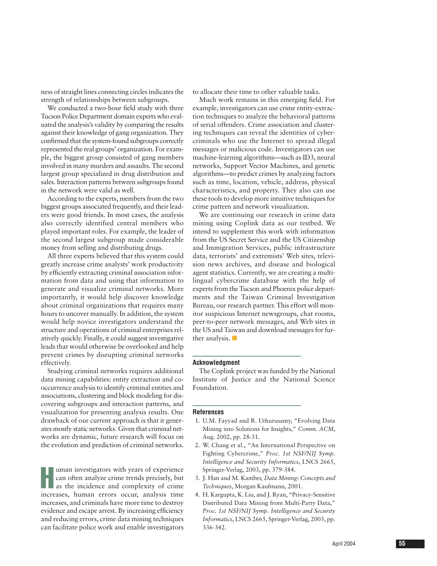ness of straight lines connecting circles indicates the strength of relationships between subgroups.

We conducted a two-hour field study with three Tucson Police Department domain experts who evaluated the analysis's validity by comparing the results against their knowledge of gang organization. They confirmed that the system-found subgroups correctly represented the real groups' organization. For example, the biggest group consisted of gang members involved in many murders and assaults. The second largest group specialized in drug distribution and sales. Interaction patterns between subgroups found in the network were valid as well.

According to the experts, members from the two biggest groups associated frequently, and their leaders were good friends. In most cases, the analysis also correctly identified central members who played important roles. For example, the leader of the second largest subgroup made considerable money from selling and distributing drugs.

All three experts believed that this system could greatly increase crime analysts' work productivity by efficiently extracting criminal association information from data and using that information to generate and visualize criminal networks. More importantly, it would help discover knowledge about criminal organizations that requires many hours to uncover manually. In addition, the system would help novice investigators understand the structure and operations of criminal enterprises relatively quickly. Finally, it could suggest investigative leads that would otherwise be overlooked and help prevent crimes by disrupting criminal networks effectively.

Studying criminal networks requires additional data mining capabilities: entity extraction and cooccurrence analysis to identify criminal entities and associations, clustering and block modeling for discovering subgroups and interaction patterns, and visualization for presenting analysis results. One drawback of our current approach is that it generates mostly static networks. Given that criminal networks are dynamic, future research will focus on the evolution and prediction of criminal networks.

H uman investigators with years of experience can often analyze crime trends precisely, but as the incidence and complexity of crime increases, human errors occur, analysis time increases, and criminals have more time to destroy evidence and escape arrest. By increasing efficiency and reducing errors, crime data mining techniques can facilitate police work and enable investigators

to allocate their time to other valuable tasks.

Much work remains in this emerging field. For example, investigators can use crime entity-extraction techniques to analyze the behavioral patterns of serial offenders. Crime association and clustering techniques can reveal the identities of cybercriminals who use the Internet to spread illegal messages or malicious code. Investigators can use machine-learning algorithms—such as ID3, neural networks, Support Vector Machines, and genetic algorithms—to predict crimes by analyzing factors such as time, location, vehicle, address, physical characteristics, and property. They also can use these tools to develop more intuitive techniques for crime pattern and network visualization.

We are continuing our research in crime data mining using Coplink data as our testbed. We intend to supplement this work with information from the US Secret Service and the US Citizenship and Immigration Services, public infrastructure data, terrorists' and extremists' Web sites, television news archives, and disease and biological agent statistics. Currently, we are creating a multilingual cybercrime database with the help of experts from the Tucson and Phoenix police departments and the Taiwan Criminal Investigation Bureau, our research partner. This effort will monitor suspicious Internet newsgroups, chat rooms, peer-to-peer network messages, and Web sites in the US and Taiwan and download messages for further analysis. ■

#### **Acknowledgment**

The Coplink project was funded by the National Institute of Justice and the National Science Foundation.

#### **References**

- 1. U.M. Fayyad and R. Uthurusamy, "Evolving Data Mining into Solutions for Insights," *Comm. ACM*, Aug. 2002, pp. 28-31.
- 2. W. Chang et al., "An International Perspective on Fighting Cybercrime," *Proc. 1st NSF/NIJ Symp. Intelligence and Security Informatics*, LNCS 2665, Springer-Verlag, 2003, pp. 379-384.
- 3. J. Han and M. Kamber, *Data Mining: Concepts and Techniques*, Morgan Kaufmann, 2001.
- 4. H. Kargupta, K. Liu, and J. Ryan, "Privacy-Sensitive Distributed Data Mining from Multi-Party Data," *Proc. 1st NSF/NIJ Symp. Intelligence and Security Informatics*, LNCS 2665, Springer-Verlag, 2003, pp. 336-342.